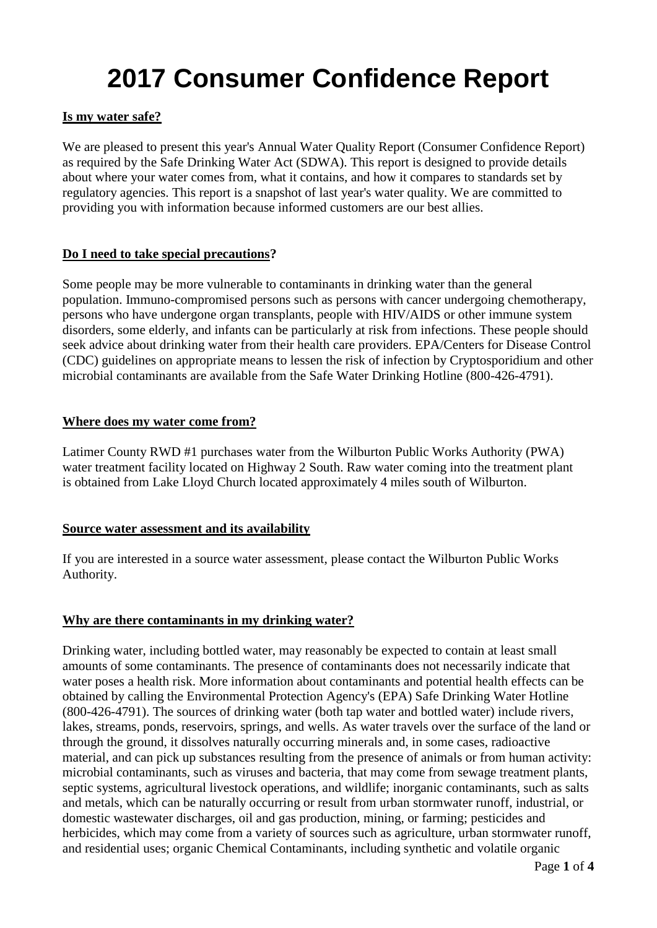# **2017 Consumer Confidence Report**

# **Is my water safe?**

We are pleased to present this year's Annual Water Quality Report (Consumer Confidence Report) as required by the Safe Drinking Water Act (SDWA). This report is designed to provide details about where your water comes from, what it contains, and how it compares to standards set by regulatory agencies. This report is a snapshot of last year's water quality. We are committed to providing you with information because informed customers are our best allies.

#### **Do I need to take special precautions?**

Some people may be more vulnerable to contaminants in drinking water than the general population. Immuno-compromised persons such as persons with cancer undergoing chemotherapy, persons who have undergone organ transplants, people with HIV/AIDS or other immune system disorders, some elderly, and infants can be particularly at risk from infections. These people should seek advice about drinking water from their health care providers. EPA/Centers for Disease Control (CDC) guidelines on appropriate means to lessen the risk of infection by Cryptosporidium and other microbial contaminants are available from the Safe Water Drinking Hotline (800-426-4791).

#### **Where does my water come from?**

Latimer County RWD #1 purchases water from the Wilburton Public Works Authority (PWA) water treatment facility located on Highway 2 South. Raw water coming into the treatment plant is obtained from Lake Lloyd Church located approximately 4 miles south of Wilburton.

# **Source water assessment and its availability**

If you are interested in a source water assessment, please contact the Wilburton Public Works Authority.

#### **Why are there contaminants in my drinking water?**

Drinking water, including bottled water, may reasonably be expected to contain at least small amounts of some contaminants. The presence of contaminants does not necessarily indicate that water poses a health risk. More information about contaminants and potential health effects can be obtained by calling the Environmental Protection Agency's (EPA) Safe Drinking Water Hotline (800-426-4791). The sources of drinking water (both tap water and bottled water) include rivers, lakes, streams, ponds, reservoirs, springs, and wells. As water travels over the surface of the land or through the ground, it dissolves naturally occurring minerals and, in some cases, radioactive material, and can pick up substances resulting from the presence of animals or from human activity: microbial contaminants, such as viruses and bacteria, that may come from sewage treatment plants, septic systems, agricultural livestock operations, and wildlife; inorganic contaminants, such as salts and metals, which can be naturally occurring or result from urban stormwater runoff, industrial, or domestic wastewater discharges, oil and gas production, mining, or farming; pesticides and herbicides, which may come from a variety of sources such as agriculture, urban stormwater runoff, and residential uses; organic Chemical Contaminants, including synthetic and volatile organic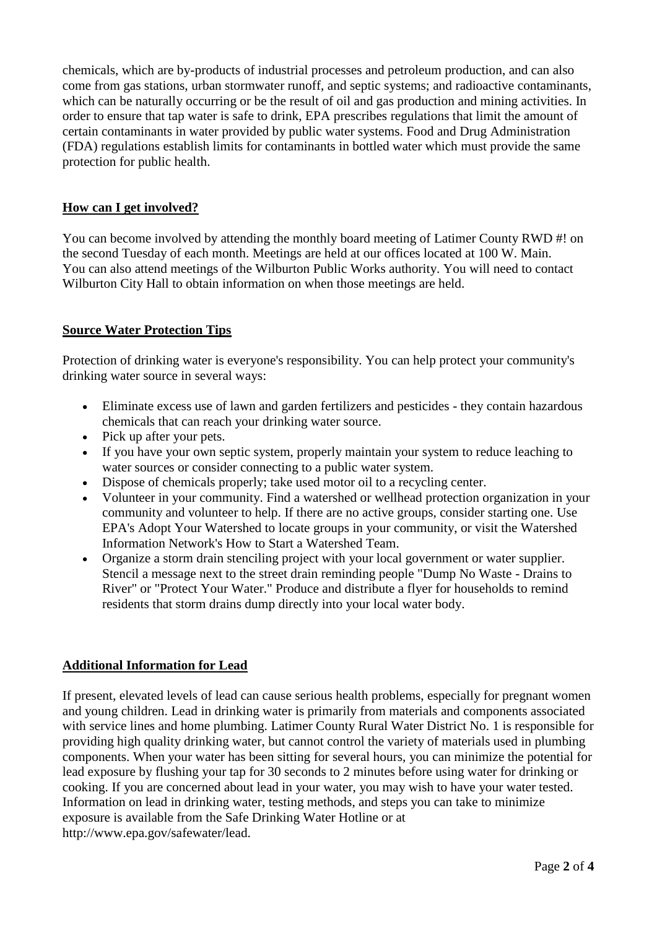chemicals, which are by-products of industrial processes and petroleum production, and can also come from gas stations, urban stormwater runoff, and septic systems; and radioactive contaminants, which can be naturally occurring or be the result of oil and gas production and mining activities. In order to ensure that tap water is safe to drink, EPA prescribes regulations that limit the amount of certain contaminants in water provided by public water systems. Food and Drug Administration (FDA) regulations establish limits for contaminants in bottled water which must provide the same protection for public health.

# **How can I get involved?**

You can become involved by attending the monthly board meeting of Latimer County RWD #! on the second Tuesday of each month. Meetings are held at our offices located at 100 W. Main. You can also attend meetings of the Wilburton Public Works authority. You will need to contact Wilburton City Hall to obtain information on when those meetings are held.

# **Source Water Protection Tips**

Protection of drinking water is everyone's responsibility. You can help protect your community's drinking water source in several ways:

- Eliminate excess use of lawn and garden fertilizers and pesticides they contain hazardous chemicals that can reach your drinking water source.
- Pick up after your pets.
- If you have your own septic system, properly maintain your system to reduce leaching to water sources or consider connecting to a public water system.
- Dispose of chemicals properly; take used motor oil to a recycling center.
- Volunteer in your community. Find a watershed or wellhead protection organization in your community and volunteer to help. If there are no active groups, consider starting one. Use EPA's Adopt Your Watershed to locate groups in your community, or visit the Watershed Information Network's How to Start a Watershed Team.
- Organize a storm drain stenciling project with your local government or water supplier. Stencil a message next to the street drain reminding people "Dump No Waste - Drains to River" or "Protect Your Water." Produce and distribute a flyer for households to remind residents that storm drains dump directly into your local water body.

# **Additional Information for Lead**

If present, elevated levels of lead can cause serious health problems, especially for pregnant women and young children. Lead in drinking water is primarily from materials and components associated with service lines and home plumbing. Latimer County Rural Water District No. 1 is responsible for providing high quality drinking water, but cannot control the variety of materials used in plumbing components. When your water has been sitting for several hours, you can minimize the potential for lead exposure by flushing your tap for 30 seconds to 2 minutes before using water for drinking or cooking. If you are concerned about lead in your water, you may wish to have your water tested. Information on lead in drinking water, testing methods, and steps you can take to minimize exposure is available from the Safe Drinking Water Hotline or at http://www.epa.gov/safewater/lead.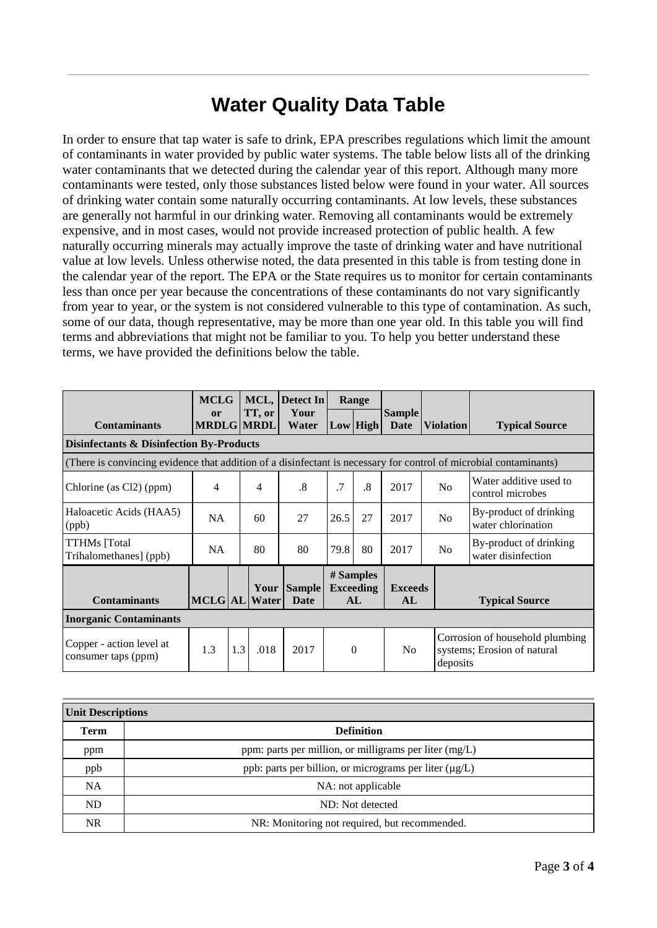# **Water Quality Data Table**

In order to ensure that tap water is safe to drink, EPA prescribes regulations which limit the amount of contaminants in water provided by public water systems. The table below lists all of the drinking water contaminants that we detected during the calendar year of this report. Although many more contaminants were tested, only those substances listed below were found in your water. All sources of drinking water contain some naturally occurring contaminants. At low levels, these substances are generally not harmful in our drinking water. Removing all contaminants would be extremely expensive, and in most cases, would not provide increased protection of public health. A few naturally occurring minerals may actually improve the taste of drinking water and have nutritional value at low levels. Unless otherwise noted, the data presented in this table is from testing done in the calendar year of the report. The EPA or the State requires us to monitor for certain contaminants less than once per year because the concentrations of these contaminants do not vary significantly from year to year, or the system is not considered vulnerable to this type of contamination. As such, some of our data, though representative, may be more than one year old. In this table you will find terms and abbreviations that might not be familiar to you. To help you better understand these terms, we have provided the definitions below the table.

|                                                                                                                   | <b>MCLG</b>             |     |               | MCL, Detect In        | Range     |                                     |                       |                  |                                                                |
|-------------------------------------------------------------------------------------------------------------------|-------------------------|-----|---------------|-----------------------|-----------|-------------------------------------|-----------------------|------------------|----------------------------------------------------------------|
| <b>Contaminants</b>                                                                                               | or<br><b>MRDLG MRDL</b> |     | TT, or        | Your<br>Water         |           | Low High                            | <b>Sample</b><br>Date | <b>Violation</b> | <b>Typical Source</b>                                          |
| <b>Disinfectants &amp; Disinfection By-Products</b>                                                               |                         |     |               |                       |           |                                     |                       |                  |                                                                |
| (There is convincing evidence that addition of a disinfectant is necessary for control of microbial contaminants) |                         |     |               |                       |           |                                     |                       |                  |                                                                |
| Chlorine (as Cl2) (ppm)                                                                                           | 4                       |     | 4             | .8                    | $\cdot$ 7 | $\cdot$ <sup>8</sup>                | 2017                  | No               | Water additive used to<br>control microbes                     |
| Haloacetic Acids (HAA5)<br>(ppb)                                                                                  | <b>NA</b>               |     | 60            | 27                    | 26.5      | 27                                  | 2017                  | N <sub>o</sub>   | By-product of drinking<br>water chlorination                   |
| <b>TTHMs</b> [Total<br>Trihalomethanes] (ppb)                                                                     | <b>NA</b>               |     | 80            | 80                    | 79.8      | 80                                  | 2017                  | N <sub>o</sub>   | By-product of drinking<br>water disinfection                   |
| <b>Contaminants</b>                                                                                               | MCLG AL                 |     | Your<br>Water | <b>Sample</b><br>Date |           | # Samples<br><b>Exceeding</b><br>AL | <b>Exceeds</b><br>AL  |                  | <b>Typical Source</b>                                          |
| <b>Inorganic Contaminants</b>                                                                                     |                         |     |               |                       |           |                                     |                       |                  |                                                                |
| Copper - action level at<br>consumer taps (ppm)                                                                   | 1.3                     | 1.3 | .018          | 2017                  |           | $\theta$                            | N <sub>o</sub>        | deposits         | Corrosion of household plumbing<br>systems; Erosion of natural |

| <b>Unit Descriptions</b> |                                                             |  |  |  |  |
|--------------------------|-------------------------------------------------------------|--|--|--|--|
| <b>Term</b>              | <b>Definition</b>                                           |  |  |  |  |
| ppm                      | ppm: parts per million, or milligrams per liter $(mg/L)$    |  |  |  |  |
| ppb                      | ppb: parts per billion, or micrograms per liter $(\mu g/L)$ |  |  |  |  |
| <b>NA</b>                | NA: not applicable                                          |  |  |  |  |
| <b>ND</b>                | ND: Not detected                                            |  |  |  |  |
| <b>NR</b>                | NR: Monitoring not required, but recommended.               |  |  |  |  |